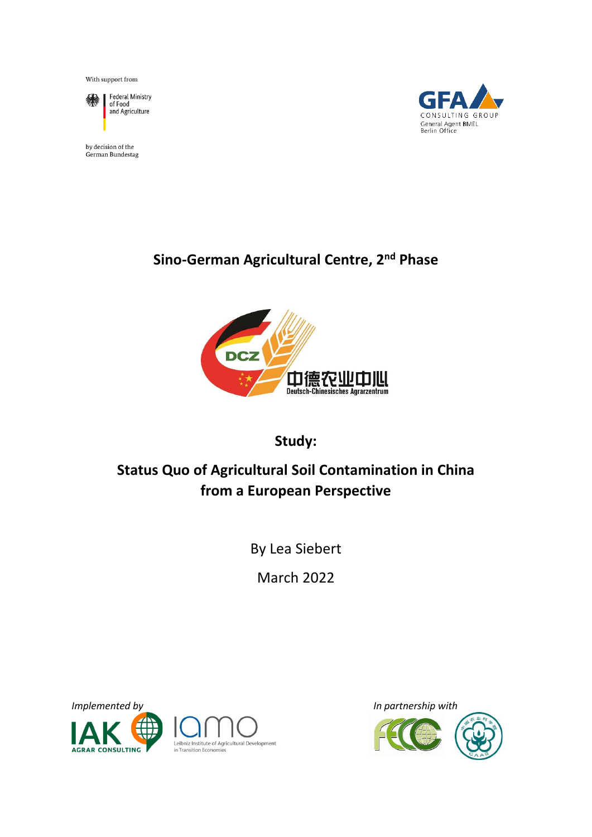With support from



Federal Ministry<br>of Food and Agriculture

by decision of the German Bundestag



# **Sino-German Agricultural Centre, 2nd Phase**



# **Study:**

# **Status Quo of Agricultural Soil Contamination in China from a European Perspective**

By Lea Siebert

March 2022



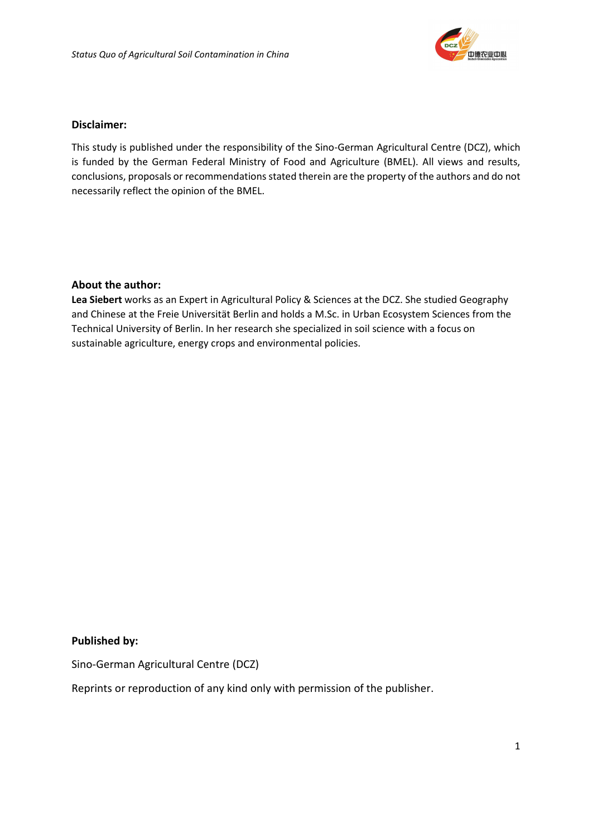

### **Disclaimer:**

This study is published under the responsibility of the Sino-German Agricultural Centre (DCZ), which is funded by the German Federal Ministry of Food and Agriculture (BMEL). All views and results, conclusions, proposals or recommendations stated therein are the property of the authors and do not necessarily reflect the opinion of the BMEL.

### **About the author:**

**Lea Siebert** works as an Expert in Agricultural Policy & Sciences at the DCZ. She studied Geography and Chinese at the Freie Universität Berlin and holds a M.Sc. in Urban Ecosystem Sciences from the Technical University of Berlin. In her research she specialized in soil science with a focus on sustainable agriculture, energy crops and environmental policies.

### **Published by:**

Sino-German Agricultural Centre (DCZ)

Reprints or reproduction of any kind only with permission of the publisher.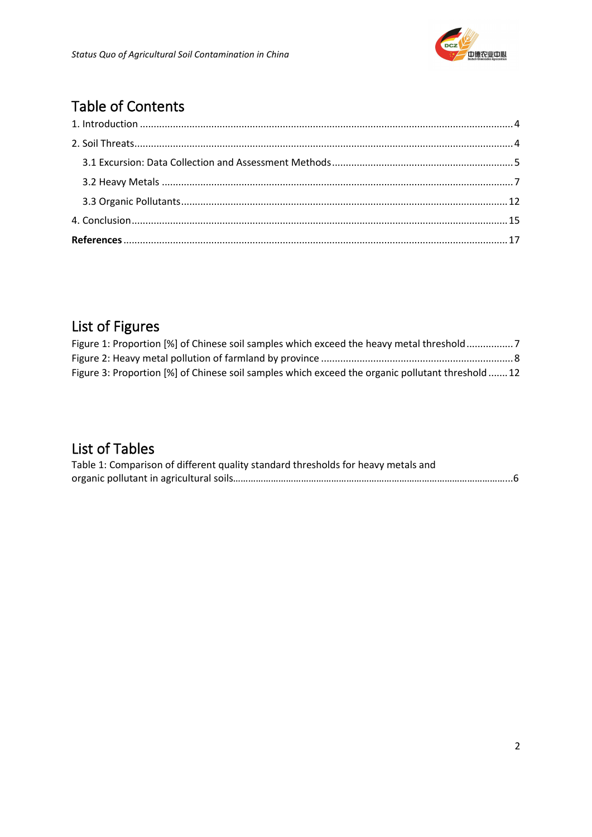

# Table of Contents

# List of Figures

| Figure 1: Proportion [%] of Chinese soil samples which exceed the heavy metal threshold           |  |
|---------------------------------------------------------------------------------------------------|--|
|                                                                                                   |  |
| Figure 3: Proportion [%] of Chinese soil samples which exceed the organic pollutant threshold  12 |  |

# List of Tables

| Table 1: Comparison of different quality standard thresholds for heavy metals and |  |
|-----------------------------------------------------------------------------------|--|
|                                                                                   |  |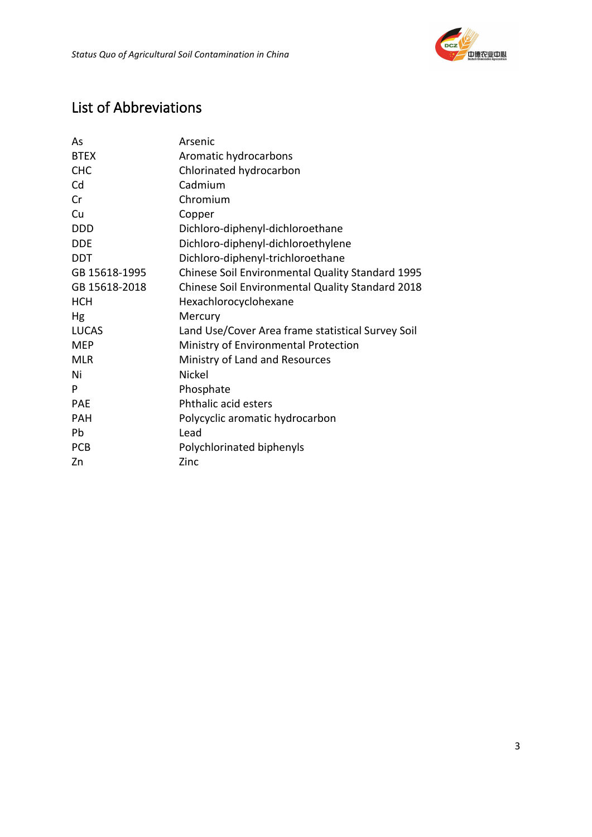

# List of Abbreviations

| As            | Arsenic                                           |  |  |  |  |  |
|---------------|---------------------------------------------------|--|--|--|--|--|
| <b>BTEX</b>   | Aromatic hydrocarbons                             |  |  |  |  |  |
| <b>CHC</b>    | Chlorinated hydrocarbon                           |  |  |  |  |  |
| Cd            | Cadmium                                           |  |  |  |  |  |
| Cr            | Chromium                                          |  |  |  |  |  |
| Cu            | Copper                                            |  |  |  |  |  |
| <b>DDD</b>    | Dichloro-diphenyl-dichloroethane                  |  |  |  |  |  |
| <b>DDE</b>    | Dichloro-diphenyl-dichloroethylene                |  |  |  |  |  |
| <b>DDT</b>    | Dichloro-diphenyl-trichloroethane                 |  |  |  |  |  |
| GB 15618-1995 | Chinese Soil Environmental Quality Standard 1995  |  |  |  |  |  |
| GB 15618-2018 | Chinese Soil Environmental Quality Standard 2018  |  |  |  |  |  |
| <b>HCH</b>    | Hexachlorocyclohexane                             |  |  |  |  |  |
| Hg            | Mercury                                           |  |  |  |  |  |
| <b>LUCAS</b>  | Land Use/Cover Area frame statistical Survey Soil |  |  |  |  |  |
| <b>MEP</b>    | Ministry of Environmental Protection              |  |  |  |  |  |
| <b>MLR</b>    | Ministry of Land and Resources                    |  |  |  |  |  |
| Ni            | Nickel                                            |  |  |  |  |  |
| P             | Phosphate                                         |  |  |  |  |  |
| <b>PAE</b>    | Phthalic acid esters                              |  |  |  |  |  |
| <b>PAH</b>    | Polycyclic aromatic hydrocarbon                   |  |  |  |  |  |
| Pb            | Lead                                              |  |  |  |  |  |
| <b>PCB</b>    | Polychlorinated biphenyls                         |  |  |  |  |  |
| Zn            | Zinc                                              |  |  |  |  |  |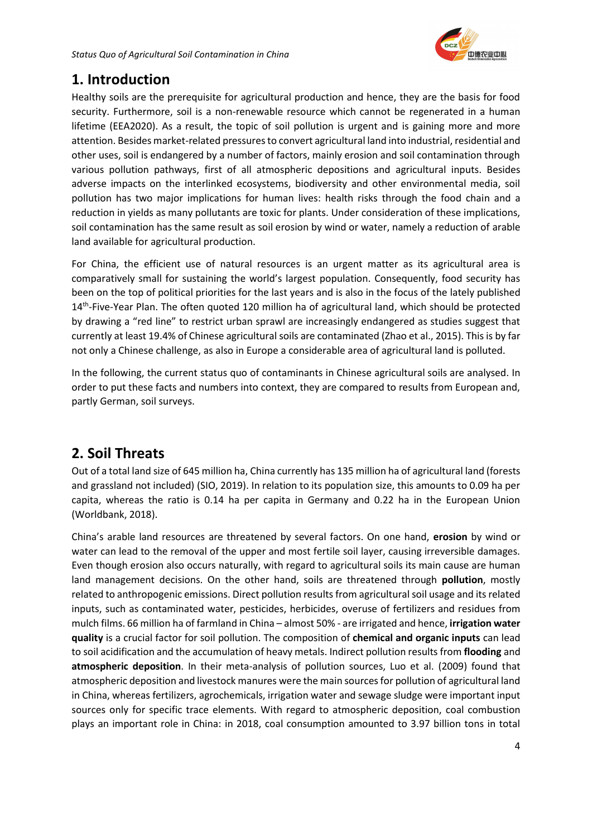

# <span id="page-4-0"></span>**1. Introduction**

Healthy soils are the prerequisite for agricultural production and hence, they are the basis for food security. Furthermore, soil is a non-renewable resource which cannot be regenerated in a human lifetime (EEA2020). As a result, the topic of soil pollution is urgent and is gaining more and more attention. Besides market-related pressures to convert agricultural land into industrial, residential and other uses, soil is endangered by a number of factors, mainly erosion and soil contamination through various pollution pathways, first of all atmospheric depositions and agricultural inputs. Besides adverse impacts on the interlinked ecosystems, biodiversity and other environmental media, soil pollution has two major implications for human lives: health risks through the food chain and a reduction in yields as many pollutants are toxic for plants. Under consideration of these implications, soil contamination has the same result as soil erosion by wind or water, namely a reduction of arable land available for agricultural production.

For China, the efficient use of natural resources is an urgent matter as its agricultural area is comparatively small for sustaining the world's largest population. Consequently, food security has been on the top of political priorities for the last years and is also in the focus of the lately published 14<sup>th</sup>-Five-Year Plan. The often quoted 120 million ha of agricultural land, which should be protected by drawing a "red line" to restrict urban sprawl are increasingly endangered as studies suggest that currently at least 19.4% of Chinese agricultural soils are contaminated (Zhao et al., 2015). This is by far not only a Chinese challenge, as also in Europe a considerable area of agricultural land is polluted.

In the following, the current status quo of contaminants in Chinese agricultural soils are analysed. In order to put these facts and numbers into context, they are compared to results from European and, partly German, soil surveys.

# <span id="page-4-1"></span>**2. Soil Threats**

Out of a total land size of 645 million ha, China currently has 135 million ha of agricultural land (forests and grassland not included) (SIO, 2019). In relation to its population size, this amounts to 0.09 ha per capita, whereas the ratio is 0.14 ha per capita in Germany and 0.22 ha in the European Union (Worldbank, 2018).

China's arable land resources are threatened by several factors. On one hand, **erosion** by wind or water can lead to the removal of the upper and most fertile soil layer, causing irreversible damages. Even though erosion also occurs naturally, with regard to agricultural soils its main cause are human land management decisions. On the other hand, soils are threatened through **pollution**, mostly related to anthropogenic emissions. Direct pollution results from agricultural soil usage and its related inputs, such as contaminated water, pesticides, herbicides, overuse of fertilizers and residues from mulch films. 66 million ha of farmland in China – almost 50% - are irrigated and hence, **irrigation water quality** is a crucial factor for soil pollution. The composition of **chemical and organic inputs** can lead to soil acidification and the accumulation of heavy metals. Indirect pollution results from **flooding** and **atmospheric deposition**. In their meta-analysis of pollution sources, Luo et al. (2009) found that atmospheric deposition and livestock manures were the main sources for pollution of agricultural land in China, whereas fertilizers, agrochemicals, irrigation water and sewage sludge were important input sources only for specific trace elements. With regard to atmospheric deposition, coal combustion plays an important role in China: in 2018, coal consumption amounted to 3.97 billion tons in total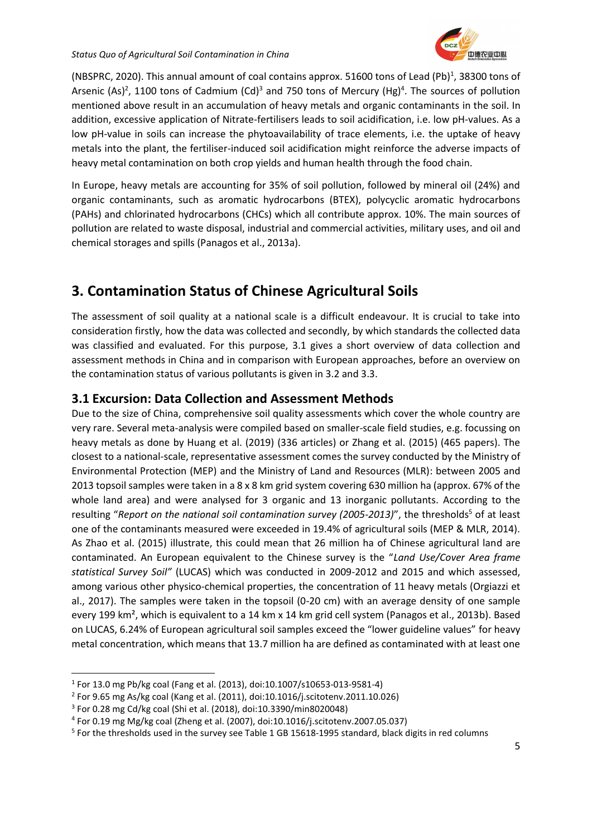

(NBSPRC, 2020). This annual amount of coal contains approx. 51600 tons of Lead (Pb)<sup>1</sup>, 38300 tons of Arsenic (As)<sup>2</sup>, 1100 tons of Cadmium (Cd)<sup>3</sup> and 750 tons of Mercury (Hg)<sup>4</sup>. The sources of pollution mentioned above result in an accumulation of heavy metals and organic contaminants in the soil. In addition, excessive application of Nitrate-fertilisers leads to soil acidification, i.e. low pH-values. As a low pH-value in soils can increase the phytoavailability of trace elements, i.e. the uptake of heavy metals into the plant, the fertiliser-induced soil acidification might reinforce the adverse impacts of heavy metal contamination on both crop yields and human health through the food chain.

In Europe, heavy metals are accounting for 35% of soil pollution, followed by mineral oil (24%) and organic contaminants, such as aromatic hydrocarbons (BTEX), polycyclic aromatic hydrocarbons (PAHs) and chlorinated hydrocarbons (CHCs) which all contribute approx. 10%. The main sources of pollution are related to waste disposal, industrial and commercial activities, military uses, and oil and chemical storages and spills (Panagos et al., 2013a).

# **3. Contamination Status of Chinese Agricultural Soils**

The assessment of soil quality at a national scale is a difficult endeavour. It is crucial to take into consideration firstly, how the data was collected and secondly, by which standards the collected data was classified and evaluated. For this purpose, 3.1 gives a short overview of data collection and assessment methods in China and in comparison with European approaches, before an overview on the contamination status of various pollutants is given in 3.2 and 3.3.

# <span id="page-5-0"></span>**3.1 Excursion: Data Collection and Assessment Methods**

Due to the size of China, comprehensive soil quality assessments which cover the whole country are very rare. Several meta-analysis were compiled based on smaller-scale field studies, e.g. focussing on heavy metals as done by Huang et al. (2019) (336 articles) or Zhang et al. (2015) (465 papers). The closest to a national-scale, representative assessment comes the survey conducted by the Ministry of Environmental Protection (MEP) and the Ministry of Land and Resources (MLR): between 2005 and 2013 topsoil samples were taken in a 8 x 8 km grid system covering 630 million ha (approx. 67% of the whole land area) and were analysed for 3 organic and 13 inorganic pollutants. According to the resulting "Report on the national soil contamination survey (2005-2013)", the thresholds<sup>5</sup> of at least one of the contaminants measured were exceeded in 19.4% of agricultural soils (MEP & MLR, 2014). As Zhao et al. (2015) illustrate, this could mean that 26 million ha of Chinese agricultural land are contaminated. An European equivalent to the Chinese survey is the "*Land Use/Cover Area frame statistical Survey Soil"* (LUCAS) which was conducted in 2009-2012 and 2015 and which assessed, among various other physico-chemical properties, the concentration of 11 heavy metals (Orgiazzi et al., 2017). The samples were taken in the topsoil (0-20 cm) with an average density of one sample every 199 km², which is equivalent to a 14 km x 14 km grid cell system (Panagos et al., 2013b). Based on LUCAS, 6.24% of European agricultural soil samples exceed the "lower guideline values" for heavy metal concentration, which means that 13.7 million ha are defined as contaminated with at least one

<sup>1</sup> For 13.0 mg Pb/kg coal (Fang et al. (2013), doi:10.1007/s10653-013-9581-4)

<sup>&</sup>lt;sup>2</sup> For 9.65 mg As/kg coal (Kang et al. (2011), doi:10.1016/j.scitotenv.2011.10.026)

<sup>3</sup> For 0.28 mg Cd/kg coal (Shi et al. (2018), doi:10.3390/min8020048)

<sup>4</sup> For 0.19 mg Mg/kg coal (Zheng et al. (2007), doi:10.1016/j.scitotenv.2007.05.037)

<sup>&</sup>lt;sup>5</sup> For the thresholds used in the survey see Table 1 GB 15618-1995 standard, black digits in red columns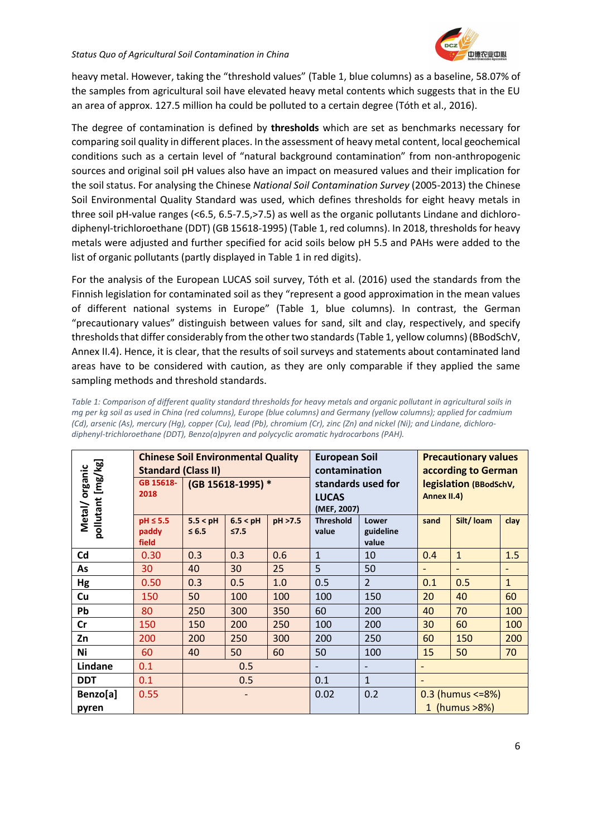heavy metal. However, taking the "threshold values" (Table 1, blue columns) as a baseline, 58.07% of the samples from agricultural soil have elevated heavy metal contents which suggests that in the EU an area of approx. 127.5 million ha could be polluted to a certain degree (Tóth et al., 2016).

The degree of contamination is defined by **thresholds** which are set as benchmarks necessary for comparing soil quality in different places. In the assessment of heavy metal content, local geochemical conditions such as a certain level of "natural background contamination" from non-anthropogenic sources and original soil pH values also have an impact on measured values and their implication for the soil status. For analysing the Chinese *National Soil Contamination Survey* (2005-2013) the Chinese Soil Environmental Quality Standard was used, which defines thresholds for eight heavy metals in three soil pH-value ranges (<6.5, 6.5-7.5,>7.5) as well as the organic pollutants Lindane and dichlorodiphenyl-trichloroethane (DDT) (GB 15618-1995) (Table 1, red columns). In 2018, thresholds for heavy metals were adjusted and further specified for acid soils below pH 5.5 and PAHs were added to the list of organic pollutants (partly displayed in Table 1 in red digits).

For the analysis of the European LUCAS soil survey, Tóth et al. (2016) used the standards from the Finnish legislation for contaminated soil as they "represent a good approximation in the mean values of different national systems in Europe" (Table 1, blue columns). In contrast, the German "precautionary values" distinguish between values for sand, silt and clay, respectively, and specify thresholds that differ considerably from the other two standards (Table 1, yellow columns) (BBodSchV, Annex II.4). Hence, it is clear, that the results of soil surveys and statements about contaminated land areas have to be considered with caution, as they are only comparable if they applied the same sampling methods and threshold standards.

|                              | <b>Chinese Soil Environmental Quality</b><br><b>Standard (Class II)</b> |                        |                        |         | <b>European Soil</b><br>contamination             |                             | <b>Precautionary values</b><br>according to German |                   |              |
|------------------------------|-------------------------------------------------------------------------|------------------------|------------------------|---------|---------------------------------------------------|-----------------------------|----------------------------------------------------|-------------------|--------------|
| pollutant [mg/kg]<br>organic | GB 15618-<br>2018                                                       | (GB 15618-1995) *      |                        |         | standards used for<br><b>LUCAS</b><br>(MEF, 2007) |                             | legislation (BBodSchV,<br>Annex II.4)              |                   |              |
| Metal/                       | $pH \leq 5.5$<br>paddy<br>field                                         | 5.5 < pH<br>$\leq 6.5$ | 6.5 < pH<br>$\leq 7.5$ | pH >7.5 | <b>Threshold</b><br>value                         | Lower<br>guideline<br>value | sand                                               | Silt/Ioam         | clay         |
| Cd                           | 0.30                                                                    | 0.3                    | 0.3                    | 0.6     | $\mathbf{1}$                                      | 10                          | 0.4                                                | $\mathbf{1}$      | 1.5          |
| As                           | 30                                                                      | 40                     | 30                     | 25      | 5                                                 | 50                          | $\overline{\phantom{0}}$                           | $\qquad \qquad -$ |              |
| Hg                           | 0.50                                                                    | 0.3                    | 0.5                    | 1.0     | 0.5                                               | $\overline{2}$              | 0.1                                                | 0.5               | $\mathbf{1}$ |
| Cu                           | 150                                                                     | 50                     | 100                    | 100     | 100                                               | 150                         | 20                                                 | 40                | 60           |
| Pb                           | 80                                                                      | 250                    | 300                    | 350     | 60                                                | 200                         | 40                                                 | 70                | 100          |
| cr                           | 150                                                                     | 150                    | 200                    | 250     | 100                                               | 200                         | 30                                                 | 60                | 100          |
| Zn                           | 200                                                                     | 200                    | 250                    | 300     | 200                                               | 250                         | 60                                                 | 150               | 200          |
| Ni                           | 60                                                                      | 40                     | 50                     | 60      | 50                                                | 100                         | 15                                                 | 50                | 70           |
| Lindane                      | 0.1                                                                     | 0.5                    |                        |         | $\overline{\phantom{a}}$                          |                             |                                                    |                   |              |
| <b>DDT</b>                   | 0.1                                                                     | 0.5                    |                        | 0.1     | $\overline{1}$                                    |                             |                                                    |                   |              |
| Benzo[a]                     | 0.55                                                                    |                        |                        | 0.02    | 0.2                                               | $0.3$ (humus <= $8\%$ )     |                                                    |                   |              |
| pyren                        |                                                                         |                        |                        |         |                                                   |                             |                                                    | 1 (humus >8%)     |              |

*Table 1: Comparison of different quality standard thresholds for heavy metals and organic pollutant in agricultural soils in mg per kg soil as used in China (red columns), Europe (blue columns) and Germany (yellow columns); applied for cadmium (Cd), arsenic (As), mercury (Hg), copper (Cu), lead (Pb), chromium (Cr), zinc (Zn) and nickel (Ni); and Lindane, dichlorodiphenyl-trichloroethane (DDT), Benzo(a)pyren and polycyclic aromatic hydrocarbons (PAH).*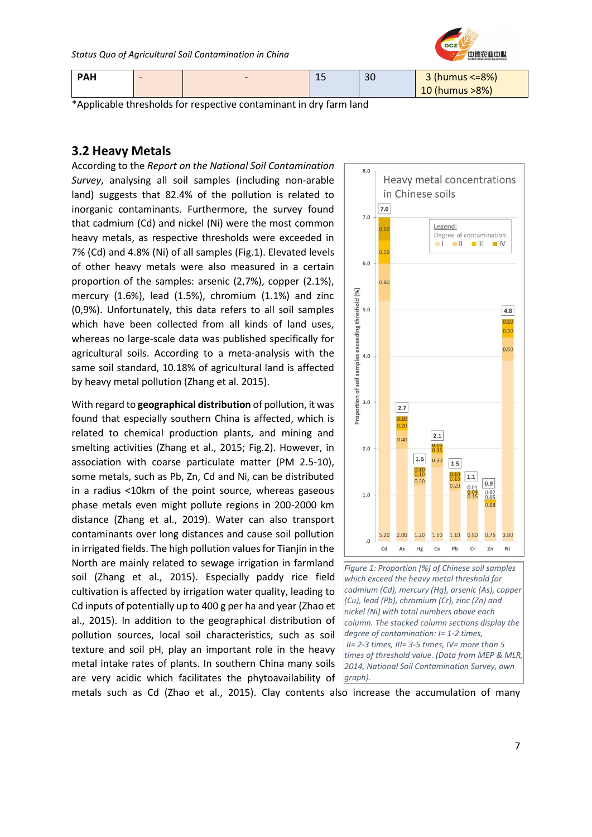

| <b>PAH</b> | $\overline{\phantom{0}}$ | -- | 30 | 3 (humus $\leq$ -8%) |
|------------|--------------------------|----|----|----------------------|
|            |                          |    |    | 10 (humus >8%)       |

\*Applicable thresholds for respective contaminant in dry farm land

# <span id="page-7-0"></span>**3.2 Heavy Metals**

According to the *Report on the National Soil Contamination Survey*, analysing all soil samples (including non-arable land) suggests that 82.4% of the pollution is related to inorganic contaminants. Furthermore, the survey found that cadmium (Cd) and nickel (Ni) were the most common heavy metals, as respective thresholds were exceeded in 7% (Cd) and 4.8% (Ni) of all samples (Fig.1). Elevated levels of other heavy metals were also measured in a certain proportion of the samples: arsenic (2,7%), copper (2.1%), mercury (1.6%), lead (1.5%), chromium (1.1%) and zinc (0,9%). Unfortunately, this data refers to all soil samples which have been collected from all kinds of land uses, whereas no large-scale data was published specifically for agricultural soils. According to a meta-analysis with the same soil standard, 10.18% of agricultural land is affected by heavy metal pollution (Zhang et al. 2015).

With regard to **geographical distribution** of pollution, it was found that especially southern China is affected, which is related to chemical production plants, and mining and smelting activities (Zhang et al., 2015; Fig.2). However, in association with coarse particulate matter (PM 2.5-10), some metals, such as Pb, Zn, Cd and Ni, can be distributed in a radius <10km of the point source, whereas gaseous phase metals even might pollute regions in 200-2000 km distance (Zhang et al., 2019). Water can also transport contaminants over long distances and cause soil pollution in irrigated fields. The high pollution values for Tianjin in the North are mainly related to sewage irrigation in farmland soil (Zhang et al., 2015). Especially paddy rice field cultivation is affected by irrigation water quality, leading to Cd inputs of potentially up to 400 g per ha and year (Zhao et al., 2015). In addition to the geographical distribution of pollution sources, local soil characteristics, such as soil texture and soil pH, play an important role in the heavy metal intake rates of plants. In southern China many soils are very acidic which facilitates the phytoavailability of





metals such as Cd (Zhao et al., 2015). Clay contents also increase the accumulation of many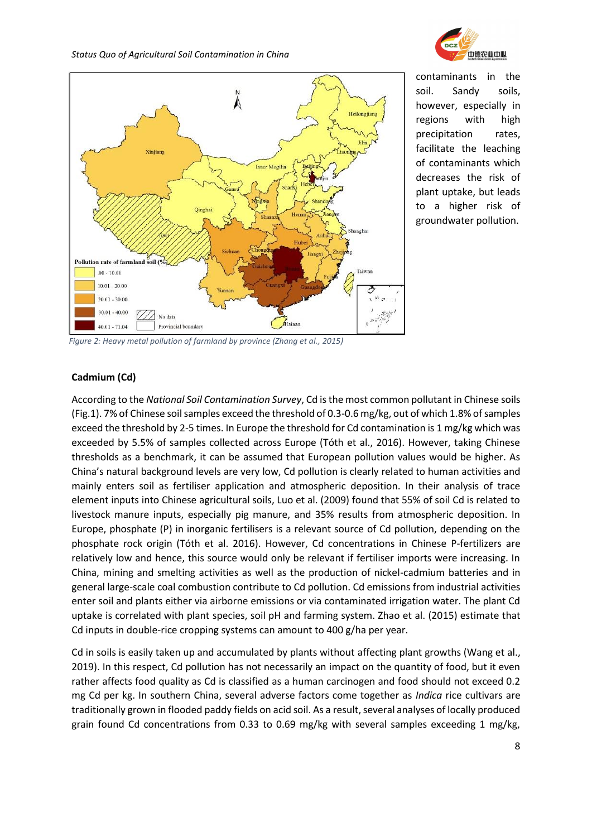



contaminants in the soil. Sandy soils, however, especially in regions with high precipitation rates, facilitate the leaching of contaminants which decreases the risk of plant uptake, but leads to a higher risk of groundwater pollution.

*Figure 2: Heavy metal pollution of farmland by province (Zhang et al., 2015)*

### **Cadmium (Cd)**

According to the *National Soil Contamination Survey*, Cd is the most common pollutant in Chinese soils (Fig.1). 7% of Chinese soil samples exceed the threshold of 0.3-0.6 mg/kg, out of which 1.8% of samples exceed the threshold by 2-5 times. In Europe the threshold for Cd contamination is 1 mg/kg which was exceeded by 5.5% of samples collected across Europe (Tóth et al., 2016). However, taking Chinese thresholds as a benchmark, it can be assumed that European pollution values would be higher. As China's natural background levels are very low, Cd pollution is clearly related to human activities and mainly enters soil as fertiliser application and atmospheric deposition. In their analysis of trace element inputs into Chinese agricultural soils, Luo et al. (2009) found that 55% of soil Cd is related to livestock manure inputs, especially pig manure, and 35% results from atmospheric deposition. In Europe, phosphate (P) in inorganic fertilisers is a relevant source of Cd pollution, depending on the phosphate rock origin (Tóth et al. 2016). However, Cd concentrations in Chinese P-fertilizers are relatively low and hence, this source would only be relevant if fertiliser imports were increasing. In China, mining and smelting activities as well as the production of nickel-cadmium batteries and in general large-scale coal combustion contribute to Cd pollution. Cd emissions from industrial activities enter soil and plants either via airborne emissions or via contaminated irrigation water. The plant Cd uptake is correlated with plant species, soil pH and farming system. Zhao et al. (2015) estimate that Cd inputs in double-rice cropping systems can amount to 400 g/ha per year.

Cd in soils is easily taken up and accumulated by plants without affecting plant growths (Wang et al., 2019). In this respect, Cd pollution has not necessarily an impact on the quantity of food, but it even rather affects food quality as Cd is classified as a human carcinogen and food should not exceed 0.2 mg Cd per kg. In southern China, several adverse factors come together as *Indica* rice cultivars are traditionally grown in flooded paddy fields on acid soil. As a result, several analyses of locally produced grain found Cd concentrations from 0.33 to 0.69 mg/kg with several samples exceeding 1 mg/kg,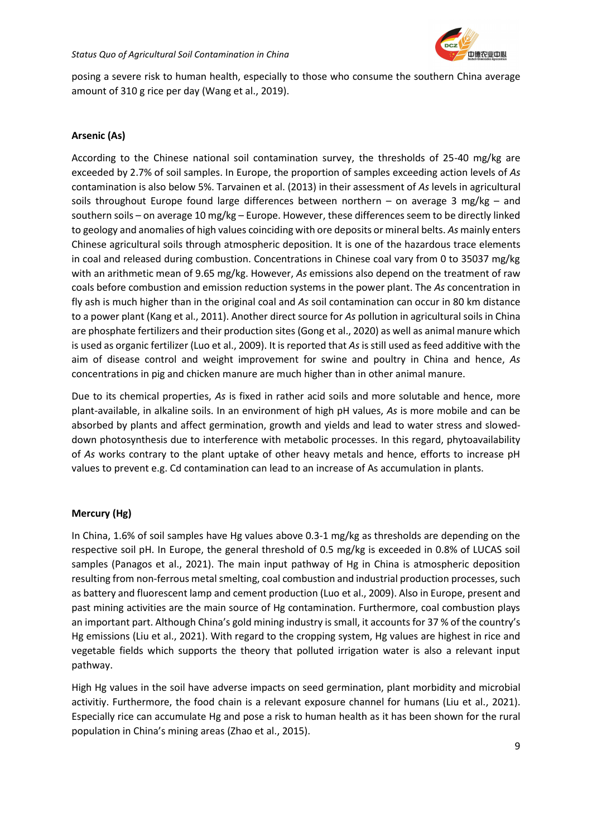

posing a severe risk to human health, especially to those who consume the southern China average amount of 310 g rice per day (Wang et al., 2019).

## **Arsenic (As)**

According to the Chinese national soil contamination survey, the thresholds of 25-40 mg/kg are exceeded by 2.7% of soil samples. In Europe, the proportion of samples exceeding action levels of *As* contamination is also below 5%. Tarvainen et al. (2013) in their assessment of *As* levels in agricultural soils throughout Europe found large differences between northern – on average 3 mg/kg – and southern soils – on average 10 mg/kg – Europe. However, these differences seem to be directly linked to geology and anomalies of high values coinciding with ore deposits or mineral belts. *As* mainly enters Chinese agricultural soils through atmospheric deposition. It is one of the hazardous trace elements in coal and released during combustion. Concentrations in Chinese coal vary from 0 to 35037 mg/kg with an arithmetic mean of 9.65 mg/kg. However, *As* emissions also depend on the treatment of raw coals before combustion and emission reduction systems in the power plant. The *As* concentration in fly ash is much higher than in the original coal and *As* soil contamination can occur in 80 km distance to a power plant (Kang et al., 2011). Another direct source for *As* pollution in agricultural soils in China are phosphate fertilizers and their production sites (Gong et al., 2020) as well as animal manure which is used as organic fertilizer (Luo et al., 2009). It is reported that *As* is still used as feed additive with the aim of disease control and weight improvement for swine and poultry in China and hence, *As*  concentrations in pig and chicken manure are much higher than in other animal manure.

Due to its chemical properties, *As* is fixed in rather acid soils and more solutable and hence, more plant-available, in alkaline soils. In an environment of high pH values, *As* is more mobile and can be absorbed by plants and affect germination, growth and yields and lead to water stress and sloweddown photosynthesis due to interference with metabolic processes. In this regard, phytoavailability of *As* works contrary to the plant uptake of other heavy metals and hence, efforts to increase pH values to prevent e.g. Cd contamination can lead to an increase of As accumulation in plants.

## **Mercury (Hg)**

In China, 1.6% of soil samples have Hg values above 0.3-1 mg/kg as thresholds are depending on the respective soil pH. In Europe, the general threshold of 0.5 mg/kg is exceeded in 0.8% of LUCAS soil samples (Panagos et al., 2021). The main input pathway of Hg in China is atmospheric deposition resulting from non-ferrous metal smelting, coal combustion and industrial production processes, such as battery and fluorescent lamp and cement production (Luo et al., 2009). Also in Europe, present and past mining activities are the main source of Hg contamination. Furthermore, coal combustion plays an important part. Although China's gold mining industry is small, it accounts for 37 % of the country's Hg emissions (Liu et al., 2021). With regard to the cropping system, Hg values are highest in rice and vegetable fields which supports the theory that polluted irrigation water is also a relevant input pathway.

High Hg values in the soil have adverse impacts on seed germination, plant morbidity and microbial activitiy. Furthermore, the food chain is a relevant exposure channel for humans (Liu et al., 2021). Especially rice can accumulate Hg and pose a risk to human health as it has been shown for the rural population in China's mining areas (Zhao et al., 2015).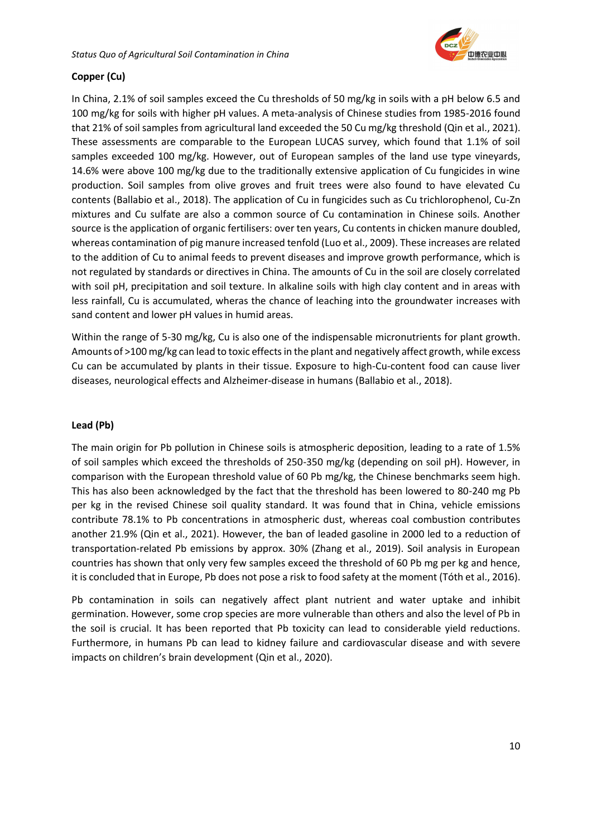

# **Copper (Cu)**

In China, 2.1% of soil samples exceed the Cu thresholds of 50 mg/kg in soils with a pH below 6.5 and 100 mg/kg for soils with higher pH values. A meta-analysis of Chinese studies from 1985-2016 found that 21% of soil samples from agricultural land exceeded the 50 Cu mg/kg threshold (Qin et al., 2021). These assessments are comparable to the European LUCAS survey, which found that 1.1% of soil samples exceeded 100 mg/kg. However, out of European samples of the land use type vineyards, 14.6% were above 100 mg/kg due to the traditionally extensive application of Cu fungicides in wine production. Soil samples from olive groves and fruit trees were also found to have elevated Cu contents (Ballabio et al., 2018). The application of Cu in fungicides such as Cu trichlorophenol, Cu-Zn mixtures and Cu sulfate are also a common source of Cu contamination in Chinese soils. Another source is the application of organic fertilisers: over ten years, Cu contents in chicken manure doubled, whereas contamination of pig manure increased tenfold (Luo et al., 2009). These increases are related to the addition of Cu to animal feeds to prevent diseases and improve growth performance, which is not regulated by standards or directives in China. The amounts of Cu in the soil are closely correlated with soil pH, precipitation and soil texture. In alkaline soils with high clay content and in areas with less rainfall, Cu is accumulated, wheras the chance of leaching into the groundwater increases with sand content and lower pH values in humid areas.

Within the range of 5-30 mg/kg, Cu is also one of the indispensable micronutrients for plant growth. Amounts of >100 mg/kg can lead to toxic effects in the plant and negatively affect growth, while excess Cu can be accumulated by plants in their tissue. Exposure to high-Cu-content food can cause liver diseases, neurological effects and Alzheimer-disease in humans (Ballabio et al., 2018).

## **Lead (Pb)**

The main origin for Pb pollution in Chinese soils is atmospheric deposition, leading to a rate of 1.5% of soil samples which exceed the thresholds of 250-350 mg/kg (depending on soil pH). However, in comparison with the European threshold value of 60 Pb mg/kg, the Chinese benchmarks seem high. This has also been acknowledged by the fact that the threshold has been lowered to 80-240 mg Pb per kg in the revised Chinese soil quality standard. It was found that in China, vehicle emissions contribute 78.1% to Pb concentrations in atmospheric dust, whereas coal combustion contributes another 21.9% (Qin et al., 2021). However, the ban of leaded gasoline in 2000 led to a reduction of transportation-related Pb emissions by approx. 30% (Zhang et al., 2019). Soil analysis in European countries has shown that only very few samples exceed the threshold of 60 Pb mg per kg and hence, it is concluded that in Europe, Pb does not pose a risk to food safety at the moment (Tóth et al., 2016).

Pb contamination in soils can negatively affect plant nutrient and water uptake and inhibit germination. However, some crop species are more vulnerable than others and also the level of Pb in the soil is crucial. It has been reported that Pb toxicity can lead to considerable yield reductions. Furthermore, in humans Pb can lead to kidney failure and cardiovascular disease and with severe impacts on children's brain development (Qin et al., 2020).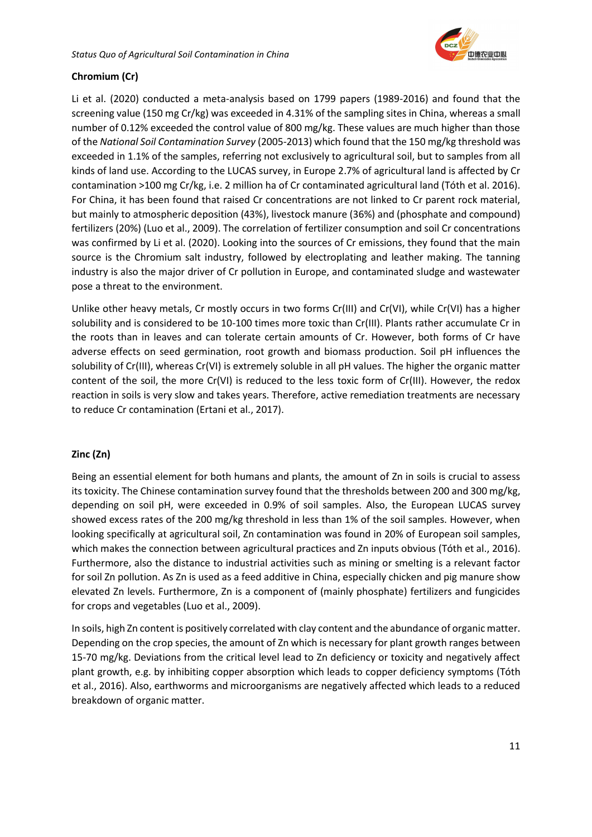

# **Chromium (Cr)**

Li et al. (2020) conducted a meta-analysis based on 1799 papers (1989-2016) and found that the screening value (150 mg Cr/kg) was exceeded in 4.31% of the sampling sites in China, whereas a small number of 0.12% exceeded the control value of 800 mg/kg. These values are much higher than those of the *National Soil Contamination Survey* (2005-2013) which found that the 150 mg/kg threshold was exceeded in 1.1% of the samples, referring not exclusively to agricultural soil, but to samples from all kinds of land use. According to the LUCAS survey, in Europe 2.7% of agricultural land is affected by Cr contamination >100 mg Cr/kg, i.e. 2 million ha of Cr contaminated agricultural land (Tóth et al. 2016). For China, it has been found that raised Cr concentrations are not linked to Cr parent rock material, but mainly to atmospheric deposition (43%), livestock manure (36%) and (phosphate and compound) fertilizers (20%) (Luo et al., 2009). The correlation of fertilizer consumption and soil Cr concentrations was confirmed by Li et al. (2020). Looking into the sources of Cr emissions, they found that the main source is the Chromium salt industry, followed by electroplating and leather making. The tanning industry is also the major driver of Cr pollution in Europe, and contaminated sludge and wastewater pose a threat to the environment.

Unlike other heavy metals, Cr mostly occurs in two forms Cr(III) and Cr(VI), while Cr(VI) has a higher solubility and is considered to be 10-100 times more toxic than Cr(III). Plants rather accumulate Cr in the roots than in leaves and can tolerate certain amounts of Cr. However, both forms of Cr have adverse effects on seed germination, root growth and biomass production. Soil pH influences the solubility of Cr(III), whereas Cr(VI) is extremely soluble in all pH values. The higher the organic matter content of the soil, the more Cr(VI) is reduced to the less toxic form of Cr(III). However, the redox reaction in soils is very slow and takes years. Therefore, active remediation treatments are necessary to reduce Cr contamination (Ertani et al., 2017).

## **Zinc (Zn)**

Being an essential element for both humans and plants, the amount of Zn in soils is crucial to assess its toxicity. The Chinese contamination survey found that the thresholds between 200 and 300 mg/kg, depending on soil pH, were exceeded in 0.9% of soil samples. Also, the European LUCAS survey showed excess rates of the 200 mg/kg threshold in less than 1% of the soil samples. However, when looking specifically at agricultural soil, Zn contamination was found in 20% of European soil samples, which makes the connection between agricultural practices and Zn inputs obvious (Tóth et al., 2016). Furthermore, also the distance to industrial activities such as mining or smelting is a relevant factor for soil Zn pollution. As Zn is used as a feed additive in China, especially chicken and pig manure show elevated Zn levels. Furthermore, Zn is a component of (mainly phosphate) fertilizers and fungicides for crops and vegetables (Luo et al., 2009).

In soils, high Zn content is positively correlated with clay content and the abundance of organic matter. Depending on the crop species, the amount of Zn which is necessary for plant growth ranges between 15-70 mg/kg. Deviations from the critical level lead to Zn deficiency or toxicity and negatively affect plant growth, e.g. by inhibiting copper absorption which leads to copper deficiency symptoms (Tóth et al., 2016). Also, earthworms and microorganisms are negatively affected which leads to a reduced breakdown of organic matter.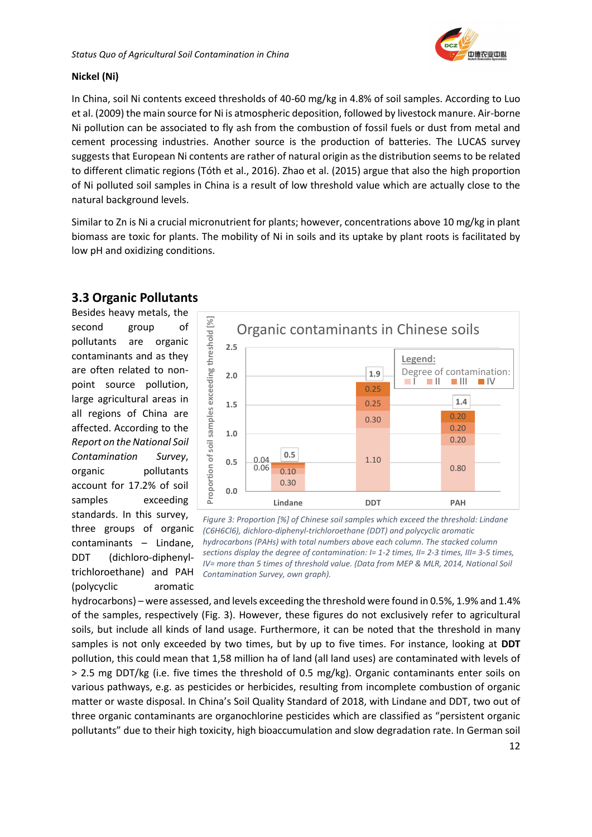

### **Nickel (Ni)**

In China, soil Ni contents exceed thresholds of 40-60 mg/kg in 4.8% of soil samples. According to Luo et al. (2009) the main source for Ni is atmospheric deposition, followed by livestock manure. Air-borne Ni pollution can be associated to fly ash from the combustion of fossil fuels or dust from metal and cement processing industries. Another source is the production of batteries. The LUCAS survey suggests that European Ni contents are rather of natural origin as the distribution seems to be related to different climatic regions (Tóth et al., 2016). Zhao et al. (2015) argue that also the high proportion of Ni polluted soil samples in China is a result of low threshold value which are actually close to the natural background levels.

Similar to Zn is Ni a crucial micronutrient for plants; however, concentrations above 10 mg/kg in plant biomass are toxic for plants. The mobility of Ni in soils and its uptake by plant roots is facilitated by low pH and oxidizing conditions.

# <span id="page-12-0"></span>**3.3 Organic Pollutants**

Besides heavy metals, the second group of pollutants are organic contaminants and as they are often related to nonpoint source pollution, large agricultural areas in all regions of China are affected. According to the *Report on the National Soil Contamination Survey*, organic pollutants account for 17.2% of soil samples exceeding standards. In this survey, three groups of organic contaminants – Lindane, DDT (dichloro-diphenyltrichloroethane) and PAH (polycyclic aromatic



*Figure 3: Proportion [%] of Chinese soil samples which exceed the threshold: Lindane (C6H6Cl6), dichloro-diphenyl-trichloroethane (DDT) and polycyclic aromatic hydrocarbons (PAHs) with total numbers above each column. The stacked column sections display the degree of contamination: I= 1-2 times, II= 2-3 times, III= 3-5 times, IV= more than 5 times of threshold value. (Data from MEP & MLR, 2014, National Soil Contamination Survey, own graph).*

hydrocarbons) – were assessed, and levels exceeding the threshold were found in 0.5%, 1.9% and 1.4% of the samples, respectively (Fig. 3). However, these figures do not exclusively refer to agricultural soils, but include all kinds of land usage. Furthermore, it can be noted that the threshold in many samples is not only exceeded by two times, but by up to five times. For instance, looking at **DDT** pollution, this could mean that 1,58 million ha of land (all land uses) are contaminated with levels of > 2.5 mg DDT/kg (i.e. five times the threshold of 0.5 mg/kg). Organic contaminants enter soils on various pathways, e.g. as pesticides or herbicides, resulting from incomplete combustion of organic matter or waste disposal. In China's Soil Quality Standard of 2018, with Lindane and DDT, two out of three organic contaminants are organochlorine pesticides which are classified as "persistent organic pollutants" due to their high toxicity, high bioaccumulation and slow degradation rate. In German soil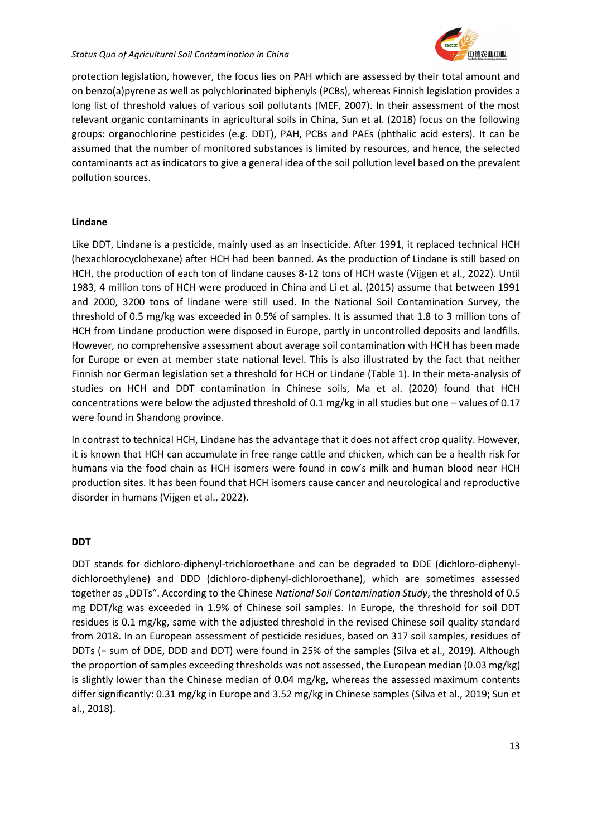

protection legislation, however, the focus lies on PAH which are assessed by their total amount and on benzo(a)pyrene as well as polychlorinated biphenyls (PCBs), whereas Finnish legislation provides a long list of threshold values of various soil pollutants (MEF, 2007). In their assessment of the most relevant organic contaminants in agricultural soils in China, Sun et al. (2018) focus on the following groups: organochlorine pesticides (e.g. DDT), PAH, PCBs and PAEs (phthalic acid esters). It can be assumed that the number of monitored substances is limited by resources, and hence, the selected contaminants act as indicators to give a general idea of the soil pollution level based on the prevalent pollution sources.

### **Lindane**

Like DDT, Lindane is a pesticide, mainly used as an insecticide. After 1991, it replaced technical HCH (hexachlorocyclohexane) after HCH had been banned. As the production of Lindane is still based on HCH, the production of each ton of lindane causes 8-12 tons of HCH waste (Vijgen et al., 2022). Until 1983, 4 million tons of HCH were produced in China and Li et al. (2015) assume that between 1991 and 2000, 3200 tons of lindane were still used. In the National Soil Contamination Survey, the threshold of 0.5 mg/kg was exceeded in 0.5% of samples. It is assumed that 1.8 to 3 million tons of HCH from Lindane production were disposed in Europe, partly in uncontrolled deposits and landfills. However, no comprehensive assessment about average soil contamination with HCH has been made for Europe or even at member state national level. This is also illustrated by the fact that neither Finnish nor German legislation set a threshold for HCH or Lindane (Table 1). In their meta-analysis of studies on HCH and DDT contamination in Chinese soils, Ma et al. (2020) found that HCH concentrations were below the adjusted threshold of 0.1 mg/kg in all studies but one – values of 0.17 were found in Shandong province.

In contrast to technical HCH, Lindane has the advantage that it does not affect crop quality. However, it is known that HCH can accumulate in free range cattle and chicken, which can be a health risk for humans via the food chain as HCH isomers were found in cow's milk and human blood near HCH production sites. It has been found that HCH isomers cause cancer and neurological and reproductive disorder in humans (Vijgen et al., 2022).

### **DDT**

DDT stands for dichloro-diphenyl-trichloroethane and can be degraded to DDE (dichloro-diphenyldichloroethylene) and DDD (dichloro-diphenyl-dichloroethane), which are sometimes assessed together as "DDTs". According to the Chinese *National Soil Contamination Study*, the threshold of 0.5 mg DDT/kg was exceeded in 1.9% of Chinese soil samples. In Europe, the threshold for soil DDT residues is 0.1 mg/kg, same with the adjusted threshold in the revised Chinese soil quality standard from 2018. In an European assessment of pesticide residues, based on 317 soil samples, residues of DDTs (= sum of DDE, DDD and DDT) were found in 25% of the samples (Silva et al., 2019). Although the proportion of samples exceeding thresholds was not assessed, the European median (0.03 mg/kg) is slightly lower than the Chinese median of 0.04 mg/kg, whereas the assessed maximum contents differ significantly: 0.31 mg/kg in Europe and 3.52 mg/kg in Chinese samples (Silva et al., 2019; Sun et al., 2018).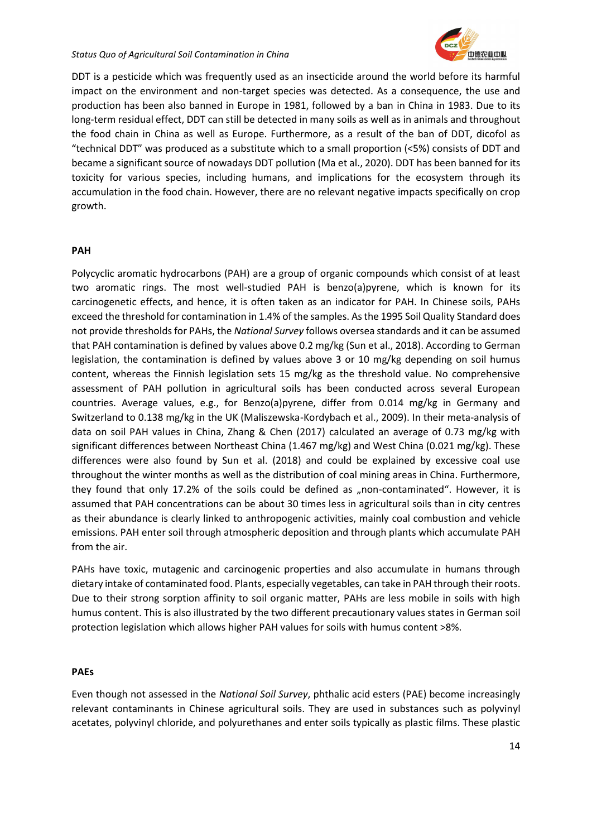

DDT is a pesticide which was frequently used as an insecticide around the world before its harmful impact on the environment and non-target species was detected. As a consequence, the use and production has been also banned in Europe in 1981, followed by a ban in China in 1983. Due to its long-term residual effect, DDT can still be detected in many soils as well as in animals and throughout the food chain in China as well as Europe. Furthermore, as a result of the ban of DDT, dicofol as "technical DDT" was produced as a substitute which to a small proportion (<5%) consists of DDT and became a significant source of nowadays DDT pollution (Ma et al., 2020). DDT has been banned for its toxicity for various species, including humans, and implications for the ecosystem through its accumulation in the food chain. However, there are no relevant negative impacts specifically on crop growth.

### **PAH**

Polycyclic aromatic hydrocarbons (PAH) are a group of organic compounds which consist of at least two aromatic rings. The most well-studied PAH is benzo(a)pyrene, which is known for its carcinogenetic effects, and hence, it is often taken as an indicator for PAH. In Chinese soils, PAHs exceed the threshold for contamination in 1.4% of the samples. As the 1995 Soil Quality Standard does not provide thresholds for PAHs, the *National Survey* follows oversea standards and it can be assumed that PAH contamination is defined by values above 0.2 mg/kg (Sun et al., 2018). According to German legislation, the contamination is defined by values above 3 or 10 mg/kg depending on soil humus content, whereas the Finnish legislation sets 15 mg/kg as the threshold value. No comprehensive assessment of PAH pollution in agricultural soils has been conducted across several European countries. Average values, e.g., for Benzo(a)pyrene, differ from 0.014 mg/kg in Germany and Switzerland to 0.138 mg/kg in the UK (Maliszewska-Kordybach et al., 2009). In their meta-analysis of data on soil PAH values in China, Zhang & Chen (2017) calculated an average of 0.73 mg/kg with significant differences between Northeast China (1.467 mg/kg) and West China (0.021 mg/kg). These differences were also found by Sun et al. (2018) and could be explained by excessive coal use throughout the winter months as well as the distribution of coal mining areas in China. Furthermore, they found that only 17.2% of the soils could be defined as "non-contaminated". However, it is assumed that PAH concentrations can be about 30 times less in agricultural soils than in city centres as their abundance is clearly linked to anthropogenic activities, mainly coal combustion and vehicle emissions. PAH enter soil through atmospheric deposition and through plants which accumulate PAH from the air.

PAHs have toxic, mutagenic and carcinogenic properties and also accumulate in humans through dietary intake of contaminated food. Plants, especially vegetables, can take in PAH through their roots. Due to their strong sorption affinity to soil organic matter, PAHs are less mobile in soils with high humus content. This is also illustrated by the two different precautionary values states in German soil protection legislation which allows higher PAH values for soils with humus content >8%.

### **PAEs**

Even though not assessed in the *National Soil Survey*, phthalic acid esters (PAE) become increasingly relevant contaminants in Chinese agricultural soils. They are used in substances such as polyvinyl acetates, polyvinyl chloride, and polyurethanes and enter soils typically as plastic films. These plastic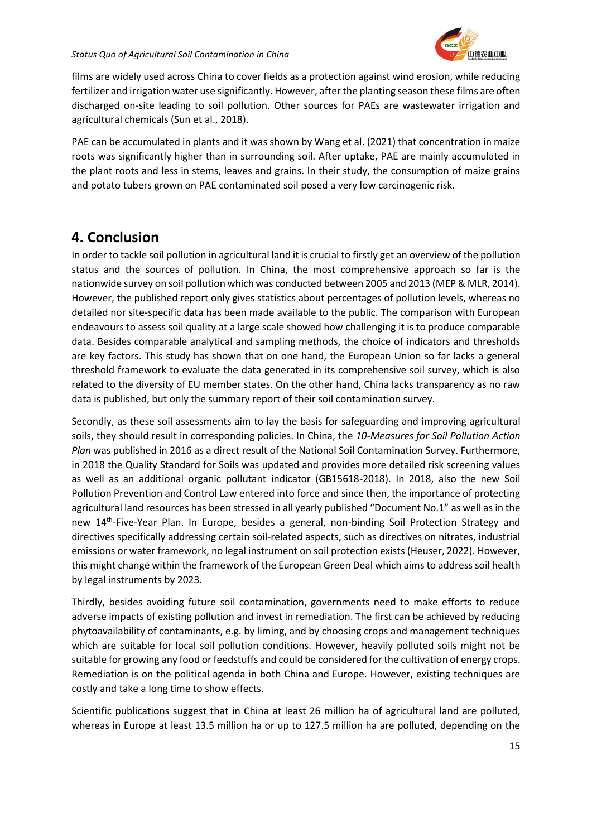films are widely used across China to cover fields as a protection against wind erosion, while reducing fertilizer and irrigation water use significantly. However, after the planting season these films are often discharged on-site leading to soil pollution. Other sources for PAEs are wastewater irrigation and agricultural chemicals (Sun et al., 2018).

PAE can be accumulated in plants and it was shown by Wang et al. (2021) that concentration in maize roots was significantly higher than in surrounding soil. After uptake, PAE are mainly accumulated in the plant roots and less in stems, leaves and grains. In their study, the consumption of maize grains and potato tubers grown on PAE contaminated soil posed a very low carcinogenic risk.

# <span id="page-15-0"></span>**4. Conclusion**

In order to tackle soil pollution in agricultural land it is crucial to firstly get an overview of the pollution status and the sources of pollution. In China, the most comprehensive approach so far is the nationwide survey on soil pollution which was conducted between 2005 and 2013 (MEP & MLR, 2014). However, the published report only gives statistics about percentages of pollution levels, whereas no detailed nor site-specific data has been made available to the public. The comparison with European endeavours to assess soil quality at a large scale showed how challenging it is to produce comparable data. Besides comparable analytical and sampling methods, the choice of indicators and thresholds are key factors. This study has shown that on one hand, the European Union so far lacks a general threshold framework to evaluate the data generated in its comprehensive soil survey, which is also related to the diversity of EU member states. On the other hand, China lacks transparency as no raw data is published, but only the summary report of their soil contamination survey.

Secondly, as these soil assessments aim to lay the basis for safeguarding and improving agricultural soils, they should result in corresponding policies. In China, the *10-Measures for Soil Pollution Action Plan* was published in 2016 as a direct result of the National Soil Contamination Survey. Furthermore, in 2018 the Quality Standard for Soils was updated and provides more detailed risk screening values as well as an additional organic pollutant indicator (GB15618-2018). In 2018, also the new Soil Pollution Prevention and Control Law entered into force and since then, the importance of protecting agricultural land resources has been stressed in all yearly published "Document No.1" as well as in the new 14<sup>th</sup>-Five-Year Plan. In Europe, besides a general, non-binding Soil Protection Strategy and directives specifically addressing certain soil-related aspects, such as directives on nitrates, industrial emissions or water framework, no legal instrument on soil protection exists (Heuser, 2022). However, this might change within the framework of the European Green Deal which aims to address soil health by legal instruments by 2023.

Thirdly, besides avoiding future soil contamination, governments need to make efforts to reduce adverse impacts of existing pollution and invest in remediation. The first can be achieved by reducing phytoavailability of contaminants, e.g. by liming, and by choosing crops and management techniques which are suitable for local soil pollution conditions. However, heavily polluted soils might not be suitable for growing any food or feedstuffs and could be considered for the cultivation of energy crops. Remediation is on the political agenda in both China and Europe. However, existing techniques are costly and take a long time to show effects.

Scientific publications suggest that in China at least 26 million ha of agricultural land are polluted, whereas in Europe at least 13.5 million ha or up to 127.5 million ha are polluted, depending on the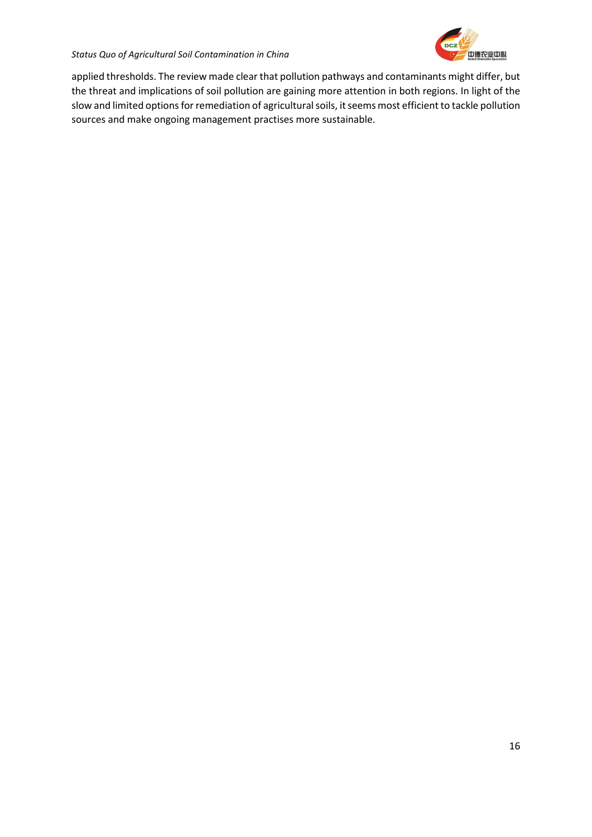

applied thresholds. The review made clear that pollution pathways and contaminants might differ, but the threat and implications of soil pollution are gaining more attention in both regions. In light of the slow and limited options for remediation of agricultural soils, it seems most efficient to tackle pollution sources and make ongoing management practises more sustainable.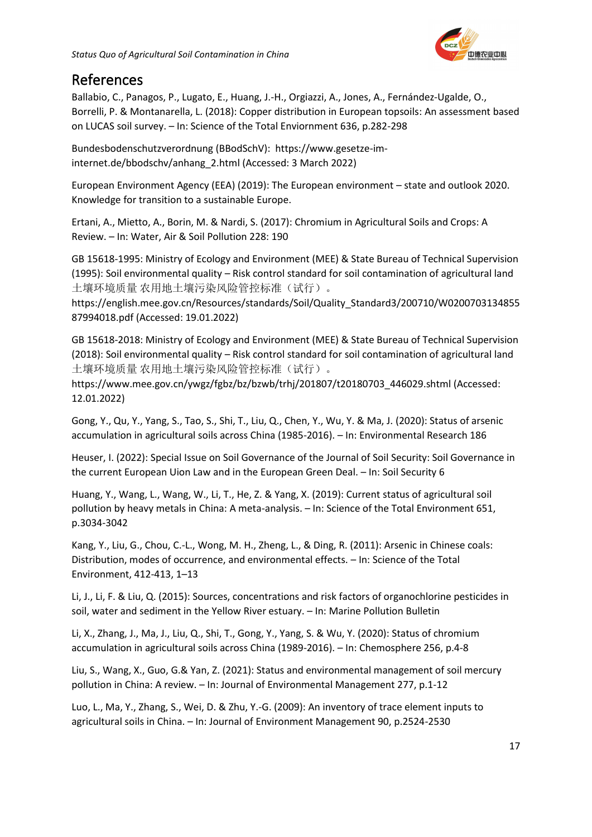

# <span id="page-17-0"></span>References

Ballabio, C., Panagos, P., Lugato, E., Huang, J.-H., Orgiazzi, A., Jones, A., Fernández-Ugalde, O., Borrelli, P. & Montanarella, L. (2018): Copper distribution in European topsoils: An assessment based on LUCAS soil survey. – In: Science of the Total Enviornment 636, p.282-298

Bundesbodenschutzverordnung (BBodSchV): https://www.gesetze-iminternet.de/bbodschv/anhang\_2.html (Accessed: 3 March 2022)

European Environment Agency (EEA) (2019): The European environment – state and outlook 2020. Knowledge for transition to a sustainable Europe.

Ertani, A., Mietto, A., Borin, M. & Nardi, S. (2017): Chromium in Agricultural Soils and Crops: A Review. – In: Water, Air & Soil Pollution 228: 190

GB 15618-1995: Ministry of Ecology and Environment (MEE) & State Bureau of Technical Supervision (1995): Soil environmental quality – Risk control standard for soil contamination of agricultural land 土壤环境质量 农用地土壤污染风险管控标准(试行)。

https://english.mee.gov.cn/Resources/standards/Soil/Quality\_Standard3/200710/W0200703134855 87994018.pdf (Accessed: 19.01.2022)

GB 15618-2018: Ministry of Ecology and Environment (MEE) & State Bureau of Technical Supervision (2018): Soil environmental quality – Risk control standard for soil contamination of agricultural land 土壤环境质量 农用地土壤污染风险管控标准(试行)。

https://www.mee.gov.cn/ywgz/fgbz/bz/bzwb/trhj/201807/t20180703\_446029.shtml (Accessed: 12.01.2022)

Gong, Y., Qu, Y., Yang, S., Tao, S., Shi, T., Liu, Q., Chen, Y., Wu, Y. & Ma, J. (2020): Status of arsenic accumulation in agricultural soils across China (1985-2016). – In: Environmental Research 186

Heuser, I. (2022): Special Issue on Soil Governance of the Journal of Soil Security: Soil Governance in the current European Uion Law and in the European Green Deal. – In: Soil Security 6

Huang, Y., Wang, L., Wang, W., Li, T., He, Z. & Yang, X. (2019): Current status of agricultural soil pollution by heavy metals in China: A meta-analysis. – In: Science of the Total Environment 651, p.3034-3042

Kang, Y., Liu, G., Chou, C.-L., Wong, M. H., Zheng, L., & Ding, R. (2011): Arsenic in Chinese coals: Distribution, modes of occurrence, and environmental effects. – In: Science of the Total Environment, 412-413, 1–13

Li, J., Li, F. & Liu, Q. (2015): Sources, concentrations and risk factors of organochlorine pesticides in soil, water and sediment in the Yellow River estuary. – In: Marine Pollution Bulletin

Li, X., Zhang, J., Ma, J., Liu, Q., Shi, T., Gong, Y., Yang, S. & Wu, Y. (2020): Status of chromium accumulation in agricultural soils across China (1989-2016). – In: Chemosphere 256, p.4-8

Liu, S., Wang, X., Guo, G.& Yan, Z. (2021): Status and environmental management of soil mercury pollution in China: A review. – In: Journal of Environmental Management 277, p.1-12

Luo, L., Ma, Y., Zhang, S., Wei, D. & Zhu, Y.-G. (2009): An inventory of trace element inputs to agricultural soils in China. – In: Journal of Environment Management 90, p.2524-2530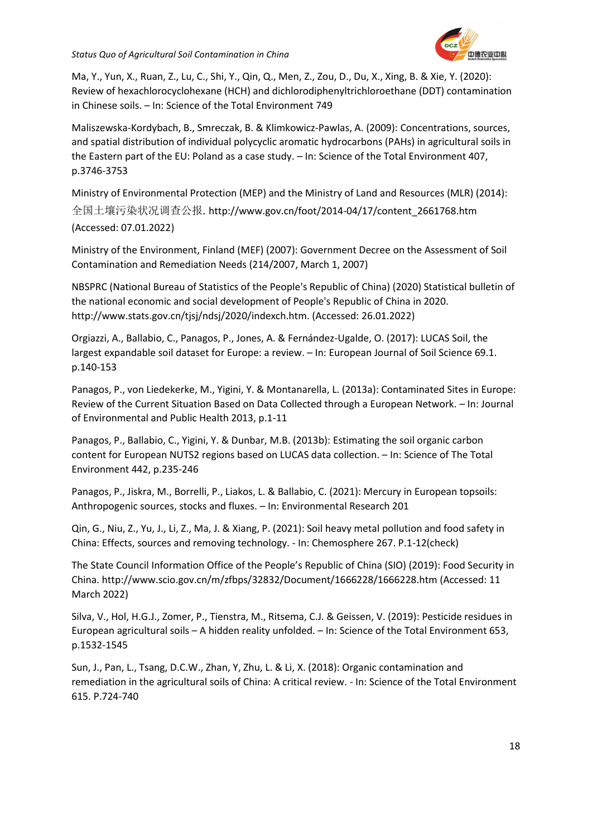

Ma, Y., Yun, X., Ruan, Z., Lu, C., Shi, Y., Qin, Q., Men, Z., Zou, D., Du, X., Xing, B. & Xie, Y. (2020): Review of hexachlorocyclohexane (HCH) and dichlorodiphenyltrichloroethane (DDT) contamination in Chinese soils. – In: Science of the Total Environment 749

Maliszewska-Kordybach, B., Smreczak, B. & Klimkowicz-Pawlas, A. (2009): Concentrations, sources, and spatial distribution of individual polycyclic aromatic hydrocarbons (PAHs) in agricultural soils in the Eastern part of the EU: Poland as a case study. – In: Science of the Total Environment 407, p.3746-3753

Ministry of Environmental Protection (MEP) and the Ministry of Land and Resources (MLR) (2014): 全国土壤污染状况调查公报. http://www.gov.cn/foot/2014-04/17/content\_2661768.htm (Accessed: 07.01.2022)

Ministry of the Environment, Finland (MEF) (2007): Government Decree on the Assessment of Soil Contamination and Remediation Needs (214/2007, March 1, 2007)

NBSPRC (National Bureau of Statistics of the People's Republic of China) (2020) Statistical bulletin of the national economic and social development of People's Republic of China in 2020. http://www.stats.gov.cn/tjsj/ndsj/2020/indexch.htm. (Accessed: 26.01.2022)

Orgiazzi, A., Ballabio, C., Panagos, P., Jones, A. & Fernández-Ugalde, O. (2017): LUCAS Soil, the largest expandable soil dataset for Europe: a review. - In: European Journal of Soil Science 69.1. p.140-153

Panagos, P., von Liedekerke, M., Yigini, Y. & Montanarella, L. (2013a): Contaminated Sites in Europe: Review of the Current Situation Based on Data Collected through a European Network. – In: Journal of Environmental and Public Health 2013, p.1-11

Panagos, P., Ballabio, C., Yigini, Y. & Dunbar, M.B. (2013b): Estimating the soil organic carbon content for European NUTS2 regions based on LUCAS data collection. – In: Science of The Total Environment 442, p.235-246

Panagos, P., Jiskra, M., Borrelli, P., Liakos, L. & Ballabio, C. (2021): Mercury in European topsoils: Anthropogenic sources, stocks and fluxes. – In: Environmental Research 201

Qin, G., Niu, Z., Yu, J., Li, Z., Ma, J. & Xiang, P. (2021): Soil heavy metal pollution and food safety in China: Effects, sources and removing technology. - In: Chemosphere 267. P.1-12(check)

The State Council Information Office of the People's Republic of China (SIO) (2019): Food Security in China. http://www.scio.gov.cn/m/zfbps/32832/Document/1666228/1666228.htm (Accessed: 11 March 2022)

Silva, V., Hol, H.G.J., Zomer, P., Tienstra, M., Ritsema, C.J. & Geissen, V. (2019): Pesticide residues in European agricultural soils – A hidden reality unfolded. – In: Science of the Total Environment 653, p.1532-1545

Sun, J., Pan, L., Tsang, D.C.W., Zhan, Y, Zhu, L. & Li, X. (2018): Organic contamination and remediation in the agricultural soils of China: A critical review. - In: Science of the Total Environment 615. P.724-740